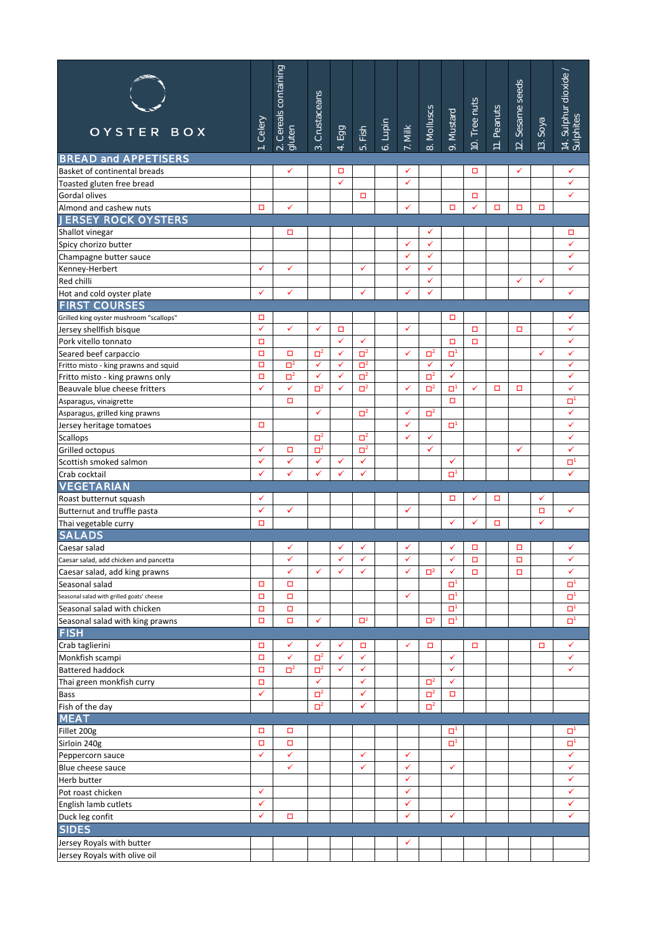| OYSTER BOX                                                              | Celery            | 2. Cereals containing<br>gluten | Crustaceans<br>$\vec{c}$ | Egg<br>$\overline{4}$        | Fish<br>ιó.          | Lupin<br>$\ddot{\circ}$ | 7. Milk      | Molluscs<br>$\infty$     | Mustard<br>$\sigma$ | 10. Tree nuts | Peanuts<br>$\equiv$ | seeds<br>Sesame s<br>$\overline{2}$ | 13. Soya     | 14. Sulphur dioxide .<br>Sulphites |
|-------------------------------------------------------------------------|-------------------|---------------------------------|--------------------------|------------------------------|----------------------|-------------------------|--------------|--------------------------|---------------------|---------------|---------------------|-------------------------------------|--------------|------------------------------------|
| <b>BREAD and APPETISERS</b>                                             |                   |                                 |                          |                              |                      |                         |              |                          |                     |               |                     |                                     |              |                                    |
| Basket of continental breads                                            |                   | ✓                               |                          | □                            |                      |                         | ✓            |                          |                     | □             |                     | ✓                                   |              | ✓                                  |
| Toasted gluten free bread                                               |                   |                                 |                          | ✓                            |                      |                         | ✓            |                          |                     |               |                     |                                     |              | ✓                                  |
| Gordal olives                                                           |                   |                                 |                          |                              | о                    |                         | ✓            |                          |                     | о<br>✓        |                     |                                     |              | ✓                                  |
| Almond and cashew nuts<br><b>JERSEY ROCK OYSTERS</b>                    | о                 | ✓                               |                          |                              |                      |                         |              |                          | □                   |               | □                   | □                                   | □            |                                    |
| Shallot vinegar                                                         |                   | □                               |                          |                              |                      |                         |              | ✓                        |                     |               |                     |                                     |              | □                                  |
| Spicy chorizo butter                                                    |                   |                                 |                          |                              |                      |                         | $\checkmark$ | $\checkmark$             |                     |               |                     |                                     |              | ✓                                  |
| Champagne butter sauce                                                  |                   |                                 |                          |                              |                      |                         | ✓            | ✓                        |                     |               |                     |                                     |              | ✓                                  |
| Kenney-Herbert                                                          | ✓                 | $\checkmark$                    |                          |                              | ✓                    |                         | ✓            | ✓                        |                     |               |                     |                                     |              | ✓                                  |
| Red chilli                                                              |                   |                                 |                          |                              |                      |                         |              | ✓                        |                     |               |                     | ✓                                   | ✓            |                                    |
| Hot and cold oyster plate                                               | ✓                 | ✓                               |                          |                              | ✓                    |                         | ✓            | ✓                        |                     |               |                     |                                     |              | ✓                                  |
| <b>FIRST COURSES</b>                                                    |                   |                                 |                          |                              |                      |                         |              |                          |                     |               |                     |                                     |              |                                    |
| Grilled king oyster mushroom "scallops"                                 | о                 |                                 |                          |                              |                      |                         |              |                          | □                   |               |                     |                                     |              | ✓                                  |
| Jersey shellfish bisque                                                 | ✓                 | ✓                               | ✓                        | ▫                            |                      |                         | ✓            |                          |                     | $\Box$        |                     | о                                   |              | ✓                                  |
| Pork vitello tonnato                                                    | $\Box$            |                                 |                          | $\checkmark$                 | ✓                    |                         |              |                          | о                   | о             |                     |                                     |              | ✓                                  |
| Seared beef carpaccio                                                   | $\Box$            | □                               | $\Box^2$<br>✓            | $\checkmark$<br>$\checkmark$ | $\Box^2$             |                         | ✓            | $\Box^2$<br>$\checkmark$ | o,<br>✓             |               |                     |                                     | ✓            | ✓<br>✓                             |
| Fritto misto - king prawns and squid<br>Fritto misto - king prawns only | $\Box$<br>$\Box$  | $\Box^2$<br>$\Box^2$            | ✓                        | $\checkmark$                 | $\Box^2$<br>$\Box^2$ |                         |              | $\Box^2$                 | $\checkmark$        |               |                     |                                     |              | ✓                                  |
| Beauvale blue cheese fritters                                           | ✓                 | ✓                               | $\Box^2$                 | ✓                            | $\Box^2$             |                         | ✓            | $\Box^2$                 | o,                  | ✓             | □                   | □                                   |              | ✓                                  |
| Asparagus, vinaigrette                                                  |                   | □                               |                          |                              |                      |                         |              |                          | □                   |               |                     |                                     |              | α,                                 |
| Asparagus, grilled king prawns                                          |                   |                                 | ✓                        |                              | $\Box^2$             |                         | ✓            | $\Box^2$                 |                     |               |                     |                                     |              | ✓                                  |
| Jersey heritage tomatoes                                                | о                 |                                 |                          |                              |                      |                         | ✓            |                          | о                   |               |                     |                                     |              | ✓                                  |
| <b>Scallops</b>                                                         |                   |                                 | $\Box^2$                 |                              | $\Box^2$             |                         | ✓            | ✓                        |                     |               |                     |                                     |              | ✓                                  |
| Grilled octopus                                                         | ✓                 | $\Box$                          | $\Box^2$                 |                              | $\Box^2$             |                         |              | $\checkmark$             |                     |               |                     | $\checkmark$                        |              | ✓                                  |
| Scottish smoked salmon                                                  | ✓                 | ✓                               | ✓                        | ✓                            | ✓                    |                         |              |                          | ✓                   |               |                     |                                     |              | ים                                 |
| Crab cocktail                                                           | ✓                 | ✓                               | $\checkmark$             | ✓                            | ✓                    |                         |              |                          | о                   |               |                     |                                     |              | ✓                                  |
| <b>VEGETARIAN</b>                                                       |                   |                                 |                          |                              |                      |                         |              |                          |                     |               |                     |                                     |              |                                    |
| Roast butternut squash                                                  | ✓                 |                                 |                          |                              |                      |                         |              |                          | □                   | ✓             | о                   |                                     | ✓            |                                    |
| Butternut and truffle pasta                                             | ✓                 | $\checkmark$                    |                          |                              |                      |                         | ✓            |                          |                     |               |                     |                                     | о            | ✓                                  |
| Thai vegetable curry                                                    | о                 |                                 |                          |                              |                      |                         |              |                          | ✓                   | ✓             | □                   |                                     | $\checkmark$ |                                    |
| <b>SALADS</b>                                                           |                   |                                 |                          |                              |                      |                         |              |                          |                     |               |                     |                                     |              |                                    |
| Caesar salad                                                            |                   | ✓                               |                          |                              |                      |                         |              |                          |                     | о             |                     | о                                   |              | ✓                                  |
| Caesar salad, add chicken and pancetta                                  |                   | ✔                               |                          |                              | ✓                    |                         | $\checkmark$ |                          | ✔                   | □             |                     | □                                   |              | ✓                                  |
| Caesar salad, add king prawns                                           |                   | ✓                               | ✓                        |                              |                      |                         |              | $\Box^2$                 | ✓                   | о             |                     | о                                   |              | ✓                                  |
| Seasonal salad<br>Seasonal salad with grilled goats' cheese             | □<br>$\Box$       | □<br>$\Box$                     |                          |                              |                      |                         | ✓            |                          | o<br>$\Box$         |               |                     |                                     |              | α,<br>α,                           |
| Seasonal salad with chicken                                             | $\Box$            | $\Box$                          |                          |                              |                      |                         |              |                          | o,                  |               |                     |                                     |              | α,                                 |
| Seasonal salad with king prawns                                         | о                 | $\Box$                          | ✓                        |                              | $\Box^2$             |                         |              | $\Box^2$                 | $\Box$              |               |                     |                                     |              | $\Box^1$                           |
| <b>FISH</b>                                                             |                   |                                 |                          |                              |                      |                         |              |                          |                     |               |                     |                                     |              |                                    |
| Crab taglierini                                                         | о                 | ✓                               | ✓                        | $\checkmark$                 | о                    |                         | ✓            | □                        |                     | о             |                     |                                     | о            | ✓                                  |
| Monkfish scampi                                                         | о                 | ✓                               | $\Box^2$                 | $\checkmark$                 | $\checkmark$         |                         |              |                          | ✓                   |               |                     |                                     |              | ✓                                  |
| <b>Battered haddock</b>                                                 | $\Box$            | $\Box^2$                        | $\Box^2$                 | $\checkmark$                 | $\checkmark$         |                         |              |                          | ✓                   |               |                     |                                     |              | ✓                                  |
| Thai green monkfish curry                                               | $\Box$            |                                 | $\checkmark$             |                              | ✓                    |                         |              | $\Box^2$                 | $\checkmark$        |               |                     |                                     |              |                                    |
| <b>Bass</b>                                                             | ✓                 |                                 | $\Box^2$                 |                              | ✓                    |                         |              | $\Box^2$                 | о                   |               |                     |                                     |              |                                    |
| Fish of the day                                                         |                   |                                 | $\Box^2$                 |                              | $\checkmark$         |                         |              | $\Box^2$                 |                     |               |                     |                                     |              |                                    |
| <b>MEAT</b>                                                             |                   |                                 |                          |                              |                      |                         |              |                          |                     |               |                     |                                     |              |                                    |
| Fillet 200g                                                             | о                 | □                               |                          |                              |                      |                         |              |                          | o,                  |               |                     |                                     |              | о٠                                 |
| Sirloin 240g                                                            | $\Box$            | $\Box$                          |                          |                              |                      |                         |              |                          | o,                  |               |                     |                                     |              | α,                                 |
| Peppercorn sauce                                                        | ✓                 | ✓                               |                          |                              | ✓                    |                         | ✓            |                          |                     |               |                     |                                     |              | ✓                                  |
| Blue cheese sauce                                                       |                   | ✓                               |                          |                              | ✓                    |                         | ✓            |                          | ✓                   |               |                     |                                     |              | ✓                                  |
| Herb butter                                                             |                   |                                 |                          |                              |                      |                         | ✓            |                          |                     |               |                     |                                     |              | ✓                                  |
| Pot roast chicken                                                       | $\checkmark$<br>✓ |                                 |                          |                              |                      |                         | ✓<br>✓       |                          |                     |               |                     |                                     |              | ✓<br>✓                             |
| English lamb cutlets<br>Duck leg confit                                 | ✓                 | □                               |                          |                              |                      |                         | ✓            |                          | ✓                   |               |                     |                                     |              | ✓                                  |
| <b>SIDES</b>                                                            |                   |                                 |                          |                              |                      |                         |              |                          |                     |               |                     |                                     |              |                                    |
|                                                                         |                   |                                 |                          |                              |                      |                         | ✓            |                          |                     |               |                     |                                     |              |                                    |
| Jersey Royals with butter                                               |                   |                                 |                          |                              |                      |                         |              |                          |                     |               |                     |                                     |              |                                    |
| Jersey Royals with olive oil                                            |                   |                                 |                          |                              |                      |                         |              |                          |                     |               |                     |                                     |              |                                    |